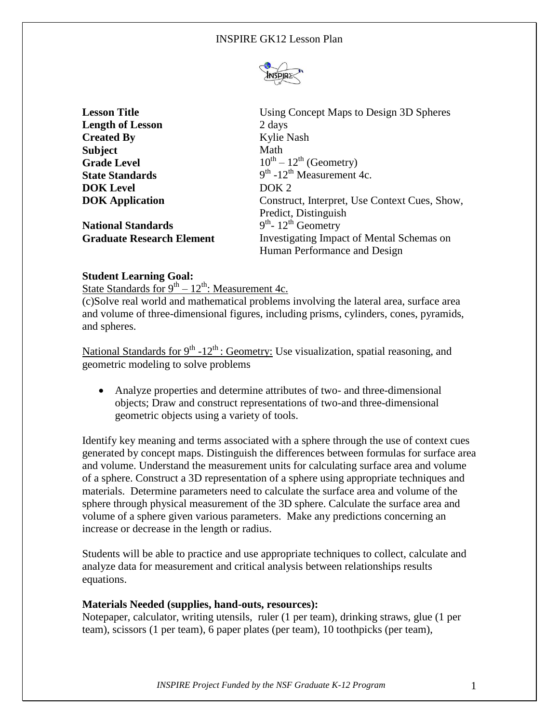

**Length of Lesson** 2 days **Created By** Kylie Nash **Subject** Math **Grade Level State Standards DOK Level** DOK 2

**National Standards** 

**Lesson Title** Using Concept Maps to Design 3D Spheres  $0^{\text{th}} - 12^{\text{th}}$  (Geometry)<br><sup>th</sup> -12<sup>th</sup> Measurement 4c. **DOK Application** Construct, Interpret, Use Context Cues, Show, Predict, Distinguish  $th$ - 12<sup>th</sup> Geometry **Graduate Research Element** Investigating Impact of Mental Schemas on Human Performance and Design

# **Student Learning Goal:**

State Standards for  $9^{th} - 12^{th}$ : Measurement 4c.

(c)Solve real world and mathematical problems involving the lateral area, surface area and volume of three-dimensional figures, including prisms, cylinders, cones, pyramids, and spheres.

National Standards for  $9<sup>th</sup> -12<sup>th</sup>$ : Geometry: Use visualization, spatial reasoning, and geometric modeling to solve problems

 Analyze properties and determine attributes of two- and three-dimensional objects; Draw and construct representations of two-and three-dimensional geometric objects using a variety of tools.

Identify key meaning and terms associated with a sphere through the use of context cues generated by concept maps. Distinguish the differences between formulas for surface area and volume. Understand the measurement units for calculating surface area and volume of a sphere. Construct a 3D representation of a sphere using appropriate techniques and materials. Determine parameters need to calculate the surface area and volume of the sphere through physical measurement of the 3D sphere. Calculate the surface area and volume of a sphere given various parameters. Make any predictions concerning an increase or decrease in the length or radius.

Students will be able to practice and use appropriate techniques to collect, calculate and analyze data for measurement and critical analysis between relationships results equations.

# **Materials Needed (supplies, hand-outs, resources):**

Notepaper, calculator, writing utensils, ruler (1 per team), drinking straws, glue (1 per team), scissors (1 per team), 6 paper plates (per team), 10 toothpicks (per team),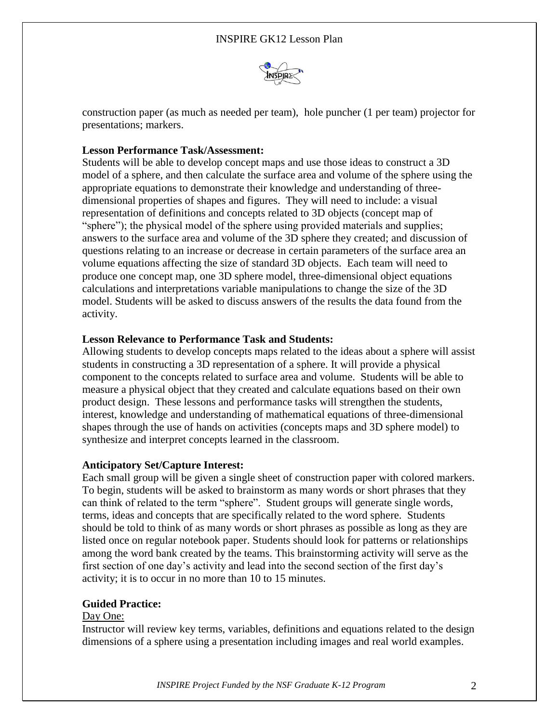

construction paper (as much as needed per team), hole puncher (1 per team) projector for presentations; markers.

# **Lesson Performance Task/Assessment:**

Students will be able to develop concept maps and use those ideas to construct a 3D model of a sphere, and then calculate the surface area and volume of the sphere using the appropriate equations to demonstrate their knowledge and understanding of threedimensional properties of shapes and figures. They will need to include: a visual representation of definitions and concepts related to 3D objects (concept map of "sphere"); the physical model of the sphere using provided materials and supplies; answers to the surface area and volume of the 3D sphere they created; and discussion of questions relating to an increase or decrease in certain parameters of the surface area an volume equations affecting the size of standard 3D objects. Each team will need to produce one concept map, one 3D sphere model, three-dimensional object equations calculations and interpretations variable manipulations to change the size of the 3D model. Students will be asked to discuss answers of the results the data found from the activity.

# **Lesson Relevance to Performance Task and Students:**

Allowing students to develop concepts maps related to the ideas about a sphere will assist students in constructing a 3D representation of a sphere. It will provide a physical component to the concepts related to surface area and volume. Students will be able to measure a physical object that they created and calculate equations based on their own product design. These lessons and performance tasks will strengthen the students, interest, knowledge and understanding of mathematical equations of three-dimensional shapes through the use of hands on activities (concepts maps and 3D sphere model) to synthesize and interpret concepts learned in the classroom.

# **Anticipatory Set/Capture Interest:**

Each small group will be given a single sheet of construction paper with colored markers. To begin, students will be asked to brainstorm as many words or short phrases that they can think of related to the term "sphere". Student groups will generate single words, terms, ideas and concepts that are specifically related to the word sphere. Students should be told to think of as many words or short phrases as possible as long as they are listed once on regular notebook paper. Students should look for patterns or relationships among the word bank created by the teams. This brainstorming activity will serve as the first section of one day's activity and lead into the second section of the first day's activity; it is to occur in no more than 10 to 15 minutes.

# **Guided Practice:**

# Day One:

Instructor will review key terms, variables, definitions and equations related to the design dimensions of a sphere using a presentation including images and real world examples.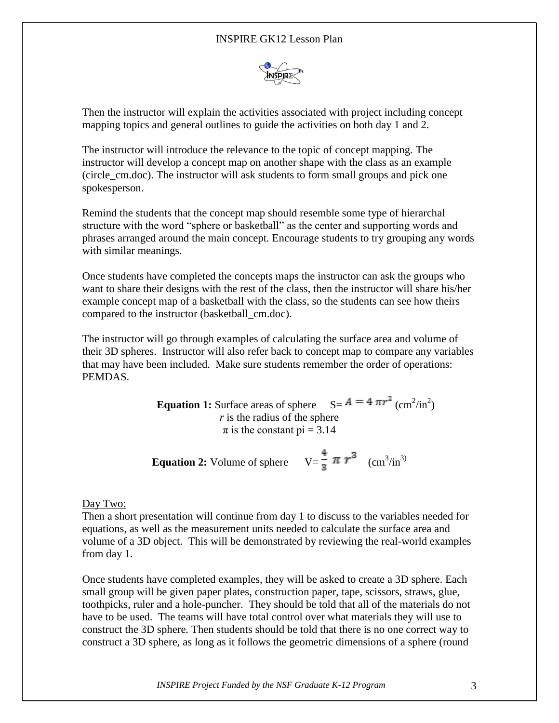# INSPIRE GK12 Lesson Plan



Then the instructor will explain the activities associated with project including concept mapping topics and general outlines to guide the activities on both day 1 and 2.

The instructor will introduce the relevance to the topic of concept mapping. The instructor will develop a concept map on another shape with the class as an example (circle\_cm.doc). The instructor will ask students to form small groups and pick one spokesperson.

Remind the students that the concept map should resemble some type of hierarchal structure with the word "sphere or basketball" as the center and supporting words and phrases arranged around the main concept. Encourage students to try grouping any words with similar meanings.

Once students have completed the concepts maps the instructor can ask the groups who want to share their designs with the rest of the class, then the instructor will share his/her example concept map of a basketball with the class, so the students can see how theirs compared to the instructor (basketball\_cm.doc).

The instructor will go through examples of calculating the surface area and volume of their 3D spheres. Instructor will also refer back to concept map to compare any variables that may have been included. Make sure students remember the order of operations: PEMDAS.

> **Equation 1:** Surface areas of sphere  $S = A = 4 \pi r^2 (cm^2/in^2)$ *r* is the radius of the sphere  $\pi$  is the constant pi = 3.14

**Equation 2:** Volume of sphere  $V = \frac{1}{2} \pi r^3$  (cm<sup>3</sup>/in<sup>3)</sup>

#### Day Two:

Then a short presentation will continue from day 1 to discuss to the variables needed for equations, as well as the measurement units needed to calculate the surface area and volume of a 3D object. This will be demonstrated by reviewing the real-world examples from day 1.

Once students have completed examples, they will be asked to create a 3D sphere. Each small group will be given paper plates, construction paper, tape, scissors, straws, glue, toothpicks, ruler and a hole-puncher. They should be told that all of the materials do not have to be used. The teams will have total control over what materials they will use to construct the 3D sphere. Then students should be told that there is no one correct way to construct a 3D sphere, as long as it follows the geometric dimensions of a sphere (round

*INSPIRE Project Funded by the NSF Graduate K-12 Program* 3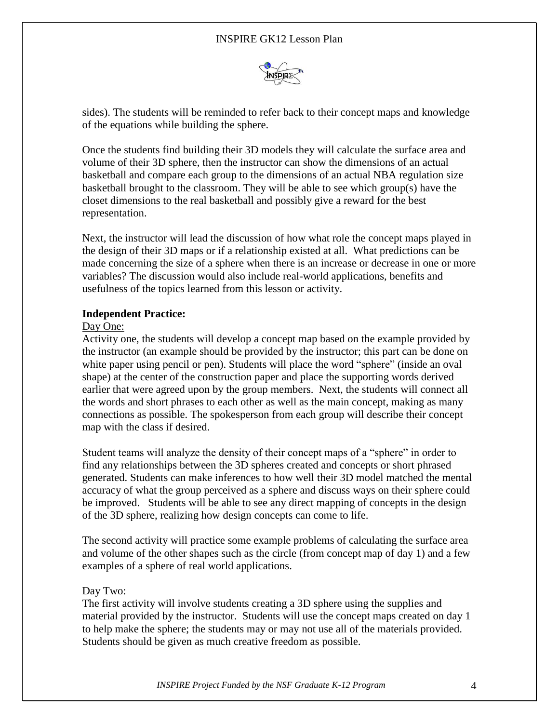# INSPIRE GK12 Lesson Plan



sides). The students will be reminded to refer back to their concept maps and knowledge of the equations while building the sphere.

Once the students find building their 3D models they will calculate the surface area and volume of their 3D sphere, then the instructor can show the dimensions of an actual basketball and compare each group to the dimensions of an actual NBA regulation size basketball brought to the classroom. They will be able to see which group(s) have the closet dimensions to the real basketball and possibly give a reward for the best representation.

Next, the instructor will lead the discussion of how what role the concept maps played in the design of their 3D maps or if a relationship existed at all. What predictions can be made concerning the size of a sphere when there is an increase or decrease in one or more variables? The discussion would also include real-world applications, benefits and usefulness of the topics learned from this lesson or activity.

#### **Independent Practice:**

#### Day One:

Activity one, the students will develop a concept map based on the example provided by the instructor (an example should be provided by the instructor; this part can be done on white paper using pencil or pen). Students will place the word "sphere" (inside an oval shape) at the center of the construction paper and place the supporting words derived earlier that were agreed upon by the group members. Next, the students will connect all the words and short phrases to each other as well as the main concept, making as many connections as possible. The spokesperson from each group will describe their concept map with the class if desired.

Student teams will analyze the density of their concept maps of a "sphere" in order to find any relationships between the 3D spheres created and concepts or short phrased generated. Students can make inferences to how well their 3D model matched the mental accuracy of what the group perceived as a sphere and discuss ways on their sphere could be improved. Students will be able to see any direct mapping of concepts in the design of the 3D sphere, realizing how design concepts can come to life.

The second activity will practice some example problems of calculating the surface area and volume of the other shapes such as the circle (from concept map of day 1) and a few examples of a sphere of real world applications.

#### Day Two:

The first activity will involve students creating a 3D sphere using the supplies and material provided by the instructor. Students will use the concept maps created on day 1 to help make the sphere; the students may or may not use all of the materials provided. Students should be given as much creative freedom as possible.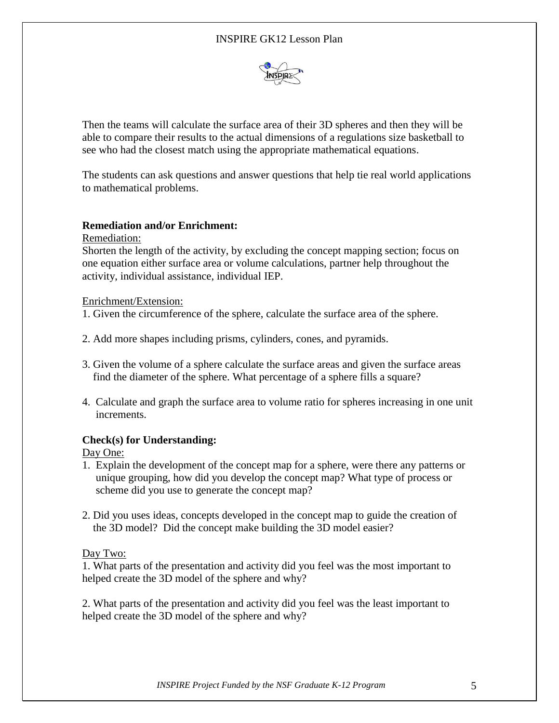# INSPIRE GK12 Lesson Plan



Then the teams will calculate the surface area of their 3D spheres and then they will be able to compare their results to the actual dimensions of a regulations size basketball to see who had the closest match using the appropriate mathematical equations.

The students can ask questions and answer questions that help tie real world applications to mathematical problems.

### **Remediation and/or Enrichment:**

Remediation:

Shorten the length of the activity, by excluding the concept mapping section; focus on one equation either surface area or volume calculations, partner help throughout the activity, individual assistance, individual IEP.

#### Enrichment/Extension:

1. Given the circumference of the sphere, calculate the surface area of the sphere.

- 2. Add more shapes including prisms, cylinders, cones, and pyramids.
- 3. Given the volume of a sphere calculate the surface areas and given the surface areas find the diameter of the sphere. What percentage of a sphere fills a square?
- 4. Calculate and graph the surface area to volume ratio for spheres increasing in one unit increments.

# **Check(s) for Understanding:**

Day One:

- 1. Explain the development of the concept map for a sphere, were there any patterns or unique grouping, how did you develop the concept map? What type of process or scheme did you use to generate the concept map?
- 2. Did you uses ideas, concepts developed in the concept map to guide the creation of the 3D model? Did the concept make building the 3D model easier?

Day Two:

1. What parts of the presentation and activity did you feel was the most important to helped create the 3D model of the sphere and why?

2. What parts of the presentation and activity did you feel was the least important to helped create the 3D model of the sphere and why?